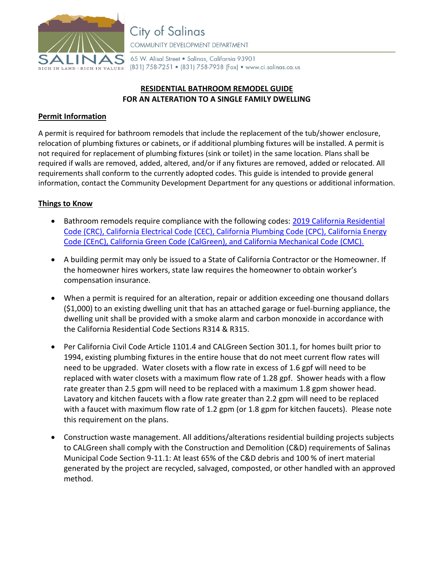

65 W. Alisal Street . Salinas, California 93901 (831) 758-7251 • (831) 758-7938 (Fax) • www.ci.salinas.ca.us

# **RESIDENTIAL BATHROOM REMODEL GUIDE FOR AN ALTERATION TO A SINGLE FAMILY DWELLING**

# **Permit Information**

A permit is required for bathroom remodels that include the replacement of the tub/shower enclosure, relocation of plumbing fixtures or cabinets, or if additional plumbing fixtures will be installed. A permit is not required for replacement of plumbing fixtures (sink or toilet) in the same location. Plans shall be required if walls are removed, added, altered, and/or if any fixtures are removed, added or relocated. All requirements shall conform to the currently adopted codes. This guide is intended to provide general information, contact the Community Development Department for any questions or additional information.

## **Things to Know**

- Bathroom remodels require compliance with the following codes: 2019 [California Residential](https://www.dgs.ca.gov/BSC/Codes)  [Code \(CRC\), California Electrical Code \(CEC\), California Plumbing Code \(CPC\), California Energy](https://www.dgs.ca.gov/BSC/Codes)  [Code \(CEnC\), California Green Code \(CalGreen\), and California Mechanical Code \(CMC\).](https://www.dgs.ca.gov/BSC/Codes)
- A building permit may only be issued to a State of California Contractor or the Homeowner. If the homeowner hires workers, state law requires the homeowner to obtain worker's compensation insurance.
- When a permit is required for an alteration, repair or addition exceeding one thousand dollars (\$1,000) to an existing dwelling unit that has an attached garage or fuel-burning appliance, the dwelling unit shall be provided with a smoke alarm and carbon monoxide in accordance with the California Residential Code Sections R314 & R315.
- Per California Civil Code Article 1101.4 and CALGreen Section 301.1, for homes built prior to 1994, existing plumbing fixtures in the entire house that do not meet current flow rates will need to be upgraded. Water closets with a flow rate in excess of 1.6 gpf will need to be replaced with water closets with a maximum flow rate of 1.28 gpf. Shower heads with a flow rate greater than 2.5 gpm will need to be replaced with a maximum 1.8 gpm shower head. Lavatory and kitchen faucets with a flow rate greater than 2.2 gpm will need to be replaced with a faucet with maximum flow rate of 1.2 gpm (or 1.8 gpm for kitchen faucets). Please note this requirement on the plans.
- Construction waste management. All additions/alterations residential building projects subjects to CALGreen shall comply with the Construction and Demolition (C&D) requirements of Salinas Municipal Code Section 9-11.1: At least 65% of the C&D debris and 100 % of inert material generated by the project are recycled, salvaged, composted, or other handled with an approved method.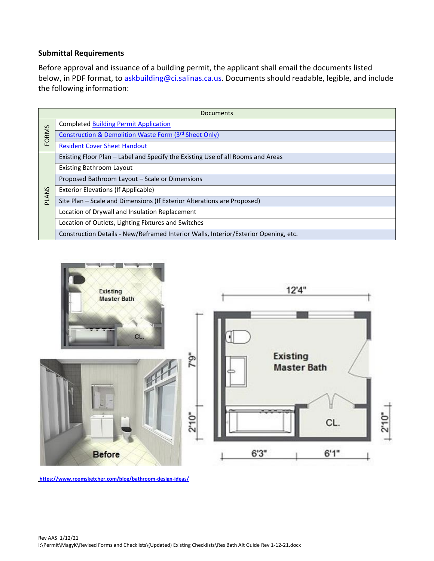### **Submittal Requirements**

Before approval and issuance of a building permit, the applicant shall email the documents listed below, in PDF format, to [askbuilding@ci.salinas.ca.us.](mailto:askbuilding@ci.salinas.ca.us) Documents should readable, legible, and include the following information:

| Documents    |                                                                                     |
|--------------|-------------------------------------------------------------------------------------|
| <b>FORMS</b> | <b>Completed Building Permit Application</b>                                        |
|              | Construction & Demolition Waste Form (3rd Sheet Only)                               |
|              | <b>Resident Cover Sheet Handout</b>                                                 |
| <b>PLANS</b> | Existing Floor Plan - Label and Specify the Existing Use of all Rooms and Areas     |
|              | <b>Existing Bathroom Layout</b>                                                     |
|              | Proposed Bathroom Layout - Scale or Dimensions                                      |
|              | <b>Exterior Elevations (If Applicable)</b>                                          |
|              | Site Plan - Scale and Dimensions (If Exterior Alterations are Proposed)             |
|              | Location of Drywall and Insulation Replacement                                      |
|              | Location of Outlets, Lighting Fixtures and Switches                                 |
|              | Construction Details - New/Reframed Interior Walls, Interior/Exterior Opening, etc. |



**<https://www.roomsketcher.com/blog/bathroom-design-ideas/>**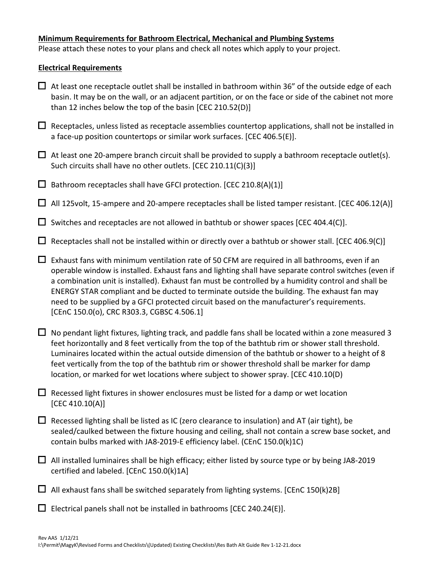### **Minimum Requirements for Bathroom Electrical, Mechanical and Plumbing Systems**

Please attach these notes to your plans and check all notes which apply to your project.

## **Electrical Requirements**

- $\Box$  At least one receptacle outlet shall be installed in bathroom within 36" of the outside edge of each basin. It may be on the wall, or an adjacent partition, or on the face or side of the cabinet not more than 12 inches below the top of the basin [CEC 210.52(D)]
- $\Box$  Receptacles, unless listed as receptacle assemblies countertop applications, shall not be installed in a face-up position countertops or similar work surfaces. [CEC 406.5(E)].
- $\Box$  At least one 20-ampere branch circuit shall be provided to supply a bathroom receptacle outlet(s). Such circuits shall have no other outlets. [CEC 210.11(C)(3)]
- $\Box$  Bathroom receptacles shall have GFCI protection. [CEC 210.8(A)(1)]
- $\Box$  All 125volt, 15-ampere and 20-ampere receptacles shall be listed tamper resistant. [CEC 406.12(A)]
- $\Box$  Switches and receptacles are not allowed in bathtub or shower spaces [CEC 404.4(C)].
- $\Box$  Receptacles shall not be installed within or directly over a bathtub or shower stall. [CEC 406.9(C)]
- $\Box$  Exhaust fans with minimum ventilation rate of 50 CFM are required in all bathrooms, even if an operable window is installed. Exhaust fans and lighting shall have separate control switches (even if a combination unit is installed). Exhaust fan must be controlled by a humidity control and shall be ENERGY STAR compliant and be ducted to terminate outside the building. The exhaust fan may need to be supplied by a GFCI protected circuit based on the manufacturer's requirements. [CEnC 150.0(o), CRC R303.3, CGBSC 4.506.1]
- $\Box$  No pendant light fixtures, lighting track, and paddle fans shall be located within a zone measured 3 feet horizontally and 8 feet vertically from the top of the bathtub rim or shower stall threshold. Luminaires located within the actual outside dimension of the bathtub or shower to a height of 8 feet vertically from the top of the bathtub rim or shower threshold shall be marker for damp location, or marked for wet locations where subject to shower spray. [CEC 410.10(D)
- $\Box$  Recessed light fixtures in shower enclosures must be listed for a damp or wet location [CEC 410.10(A)]
- $\Box$  Recessed lighting shall be listed as IC (zero clearance to insulation) and AT (air tight), be sealed/caulked between the fixture housing and ceiling, shall not contain a screw base socket, and contain bulbs marked with JA8-2019-E efficiency label. (CEnC 150.0(k)1C)
- $\Box$  All installed luminaires shall be high efficacy; either listed by source type or by being JA8-2019 certified and labeled. [CEnC 150.0(k)1A]
- $\Box$  All exhaust fans shall be switched separately from lighting systems. [CEnC 150(k)2B]

 $\Box$  Electrical panels shall not be installed in bathrooms [CEC 240.24(E)].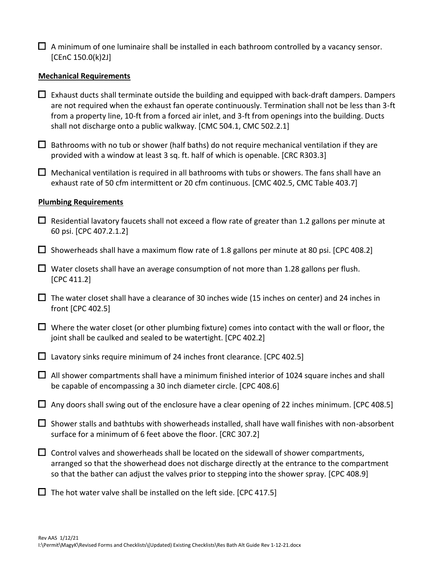| $\Box$ A minimum of one luminaire shall be installed in each bathroom controlled by a vacancy sensor. |
|-------------------------------------------------------------------------------------------------------|
| [CEnC 150.0(k)2J]                                                                                     |

#### **Mechanical Requirements**

 $\Box$  Exhaust ducts shall terminate outside the building and equipped with back-draft dampers. Dampers are not required when the exhaust fan operate continuously. Termination shall not be less than 3-ft from a property line, 10-ft from a forced air inlet, and 3-ft from openings into the building. Ducts shall not discharge onto a public walkway. [CMC 504.1, CMC 502.2.1]

 $\Box$  Bathrooms with no tub or shower (half baths) do not require mechanical ventilation if they are provided with a window at least 3 sq. ft. half of which is openable. [CRC R303.3]

 $\Box$  Mechanical ventilation is required in all bathrooms with tubs or showers. The fans shall have an exhaust rate of 50 cfm intermittent or 20 cfm continuous. [CMC 402.5, CMC Table 403.7]

#### **Plumbing Requirements**

- $\Box$  Residential lavatory faucets shall not exceed a flow rate of greater than 1.2 gallons per minute at 60 psi. [CPC 407.2.1.2]
- $\Box$  Showerheads shall have a maximum flow rate of 1.8 gallons per minute at 80 psi. [CPC 408.2]
- $\Box$  Water closets shall have an average consumption of not more than 1.28 gallons per flush. [CPC 411.2]
- $\Box$  The water closet shall have a clearance of 30 inches wide (15 inches on center) and 24 inches in front [CPC 402.5]
- $\Box$  Where the water closet (or other plumbing fixture) comes into contact with the wall or floor, the joint shall be caulked and sealed to be watertight. [CPC 402.2]
- $\Box$  Lavatory sinks require minimum of 24 inches front clearance. [CPC 402.5]
- $\Box$  All shower compartments shall have a minimum finished interior of 1024 square inches and shall be capable of encompassing a 30 inch diameter circle. [CPC 408.6]
- $\Box$  Any doors shall swing out of the enclosure have a clear opening of 22 inches minimum. [CPC 408.5]
- $\Box$  Shower stalls and bathtubs with showerheads installed, shall have wall finishes with non-absorbent surface for a minimum of 6 feet above the floor. [CRC 307.2]
- $\Box$  Control valves and showerheads shall be located on the sidewall of shower compartments, arranged so that the showerhead does not discharge directly at the entrance to the compartment so that the bather can adjust the valves prior to stepping into the shower spray. [CPC 408.9]

 $\Box$  The hot water valve shall be installed on the left side. [CPC 417.5]